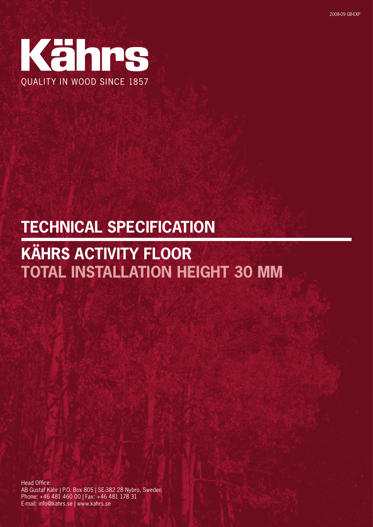

# **TECHNICAL SPECIFICATION**

# **KÄHRS ACTIVITY FLOOR TOTAL INSTALLATION HEIGHT 30 MM**

Head Office: AB Gustaf Kähr | P.O. Box 805 | SE-382 28 Nybro, Sweden Phone: +46 481 460 00 | Fax: +46 481 178 31 E-mail: info@kahrs.se | www.kahrs.se